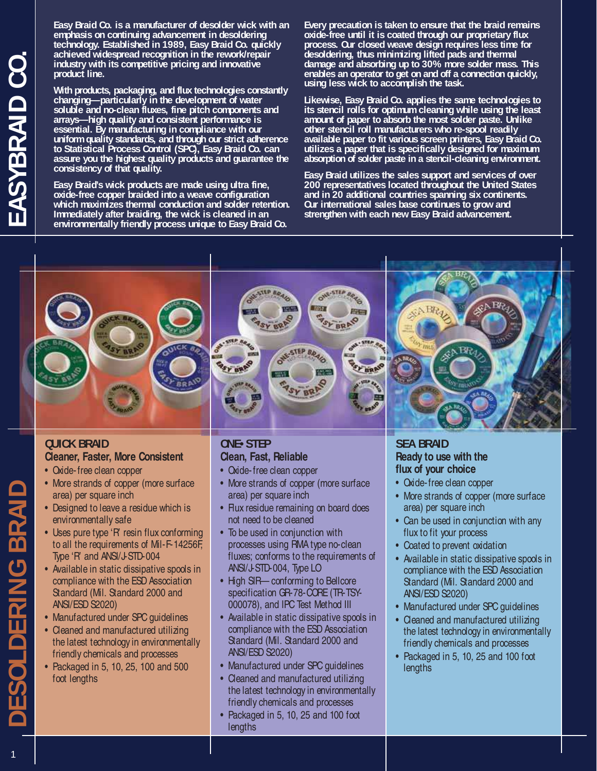**Easy Braid Co. is a manufacturer of desolder wick with an emphasis on continuing advancement in desoldering technology. Established in 1989, Easy Braid Co. quickly achieved widespread recognition in the rework/repair industry with its competitive pricing and innovative product line.**

**With products, packaging, and flux technologies constantly changing—particularly in the development of water soluble and no-clean fluxes, fine pitch components and arrays—high quality and consistent performance is essential. By manufacturing in compliance with our uniform quality standards, and through our strict adherence to Statistical Process Control (SPC), Easy Braid Co. can assure you the highest quality products and guarantee the consistency of that quality.**

**Easy Braid's wick products are made using ultra fine, oxide-free copper braided into a weave configuration which maximizes thermal conduction and solder retention. Immediately after braiding, the wick is cleaned in an environmentally friendly process unique to Easy Braid Co.**

**Every precaution is taken to ensure that the braid remains oxide-free until it is coated through our proprietary flux process. Our closed weave design requires less time for desoldering, thus minimizing lifted pads and thermal damage and absorbing up to 30% more solder mass. This enables an operator to get on and off a connection quickly, using less wick to accomplish the task.**

**Likewise, Easy Braid Co. applies the same technologies to its stencil rolls for optimum cleaning while using the least amount of paper to absorb the most solder paste. Unlike other stencil roll manufacturers who re-spool readily available paper to fit various screen printers, Easy Braid Co. utilizes a paper that is specifically designed for maximum absorption of solder paste in a stencil-cleaning environment.**

**Easy Braid utilizes the sales support and services of over 200 representatives located throughout the United States and in 20 additional countries spanning six continents. Our international sales base continues to grow and strengthen with each new Easy Braid advancement.**



## **QUICK BRAID Cleaner, Faster, More Consistent**

- Oxide-free clean copper
- More strands of copper (more surface area) per square inch
- Designed to leave a residue which is environmentally safe
- Uses pure type 'R' resin flux conforming to all the requirements of Mil-F-14256F, Type 'R' and ANSI/J-STD-004
- Available in static dissipative spools in compliance with the ESD Association Standard (Mil. Standard 2000 and ANSI/ESD S2020)
- Manufactured under SPC quidelines
- Cleaned and manufactured utilizing the latest technology in environmentally friendly chemicals and processes
- Packaged in 5, 10, 25, 100 and 500 foot lengths

## **ONE• STEP Clean, Fast, Reliable**

- Oxide-free clean copper
- More strands of copper (more surface area) per square inch
- Flux residue remaining on board does not need to be cleaned
- To be used in conjunction with processes using RMA type no-clean fluxes; conforms to the requirements of ANSI/J-STD-004, Type LO
- High SIR— conforming to Bellcore specification GR-78-CORE (TR-TSY-000078), and IPC Test Method III
- Available in static dissipative spools in compliance with the ESD Association Standard (Mil. Standard 2000 and ANSI/ESD S2020)
- Manufactured under SPC guidelines
- Cleaned and manufactured utilizing the latest technology in environmentally friendly chemicals and processes
- Packaged in 5, 10, 25 and 100 foot lengths

## **SEA BRAID Ready to use with the flux of your choice**

- Oxide-free clean copper
- More strands of copper (more surface area) per square inch
- Can be used in conjunction with any flux to fit your process
- Coated to prevent oxidation
- Available in static dissipative spools in compliance with the ESD Association Standard (Mil. Standard 2000 and ANSI/ESD S2020)
- Manufactured under SPC quidelines
- Cleaned and manufactured utilizing the latest technology in environmentally friendly chemicals and processes
- Packaged in 5, 10, 25 and 100 foot **lengths**

**DLDERING BRAIL**